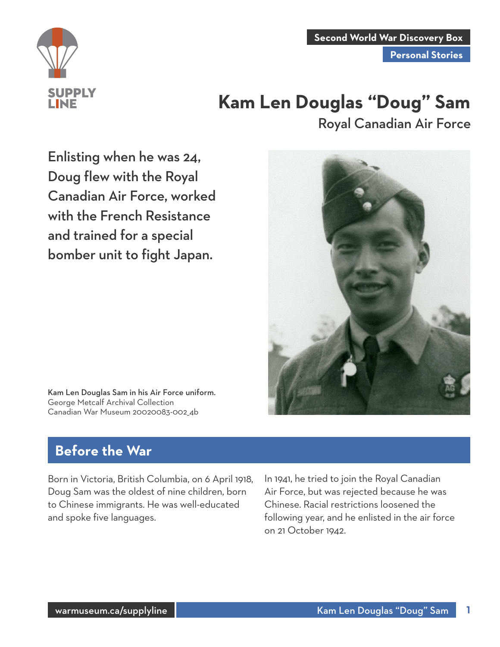

**Second World War Discovery Box**

**Personal Stories**

# **Kam Len Douglas "Doug" Sam** Royal Canadian Air Force

Enlisting when he was 24, Doug flew with the Royal Canadian Air Force, worked with the French Resistance and trained for a special bomber unit to fight Japan.



Kam Len Douglas Sam in his Air Force uniform. George Metcalf Archival Collection Canadian War Museum 20020083-002\_4b

## **Before the War**

Born in Victoria, British Columbia, on 6 April 1918, Doug Sam was the oldest of nine children, born to Chinese immigrants. He was well-educated and spoke five languages.

In 1941, he tried to join the Royal Canadian Air Force, but was rejected because he was Chinese. Racial restrictions loosened the following year, and he enlisted in the air force on 21 October 1942.